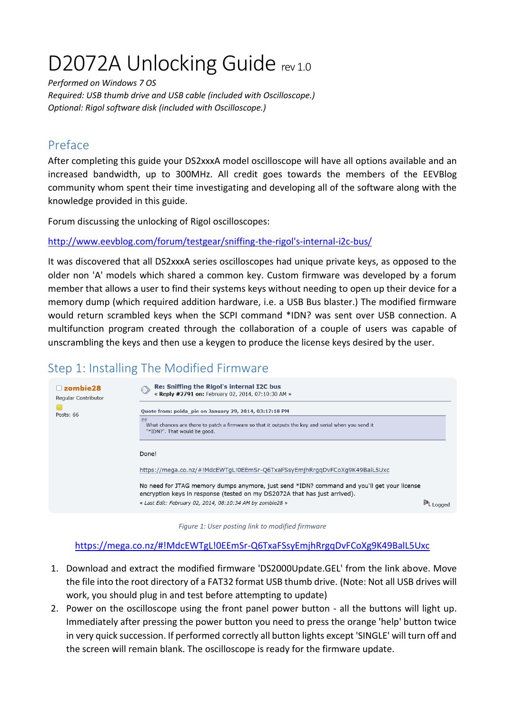# D2072A Unlocking Guide rev 1.0

*Performed on Windows 7 OS*

*Required: USB thumb drive and USB cable (included with Oscilloscope.) Optional: Rigol software disk (included with Oscilloscope.)*

# Preface

After completing this guide your DS2xxxA model oscilloscope will have all options available and an increased bandwidth, up to 300MHz. All credit goes towards the members of the EEVBlog community whom spent their time investigating and developing all of the software along with the knowledge provided in this guide.

Forum discussing the unlocking of Rigol oscilloscopes:

[http://www.eevblog.com/forum/testgear/sniffing-the-rigol's-internal-i2c-bus/](http://www.eevblog.com/forum/testgear/sniffing-the-rigol)

It was discovered that all DS2xxxA series oscilloscopes had unique private keys, as opposed to the older non 'A' models which shared a common key. Custom firmware was developed by a forum member that allows a user to find their systems keys without needing to open up their device for a memory dump (which required addition hardware, i.e. a USB Bus blaster.) The modified firmware would return scrambled keys when the SCPI command \*IDN? was sent over USB connection. A multifunction program created through the collaboration of a couple of users was capable of unscrambling the keys and then use a keygen to produce the license keys desired by the user.

# Step 1: Installing The Modified Firmware



*Figure 1: User posting link to modified firmware*

<https://mega.co.nz/#!MdcEWTgL!0EEmSr-Q6TxaFSsyEmjhRrgqDvFCoXg9K49BalL5Uxc>

- 1. Download and extract the modified firmware 'DS2000Update.GEL' from the link above. Move the file into the root directory of a FAT32 format USB thumb drive. (Note: Not all USB drives will work, you should plug in and test before attempting to update)
- 2. Power on the oscilloscope using the front panel power button all the buttons will light up. Immediately after pressing the power button you need to press the orange 'help' button twice in very quick succession. If performed correctly all button lights except 'SINGLE' will turn off and the screen will remain blank. The oscilloscope is ready for the firmware update.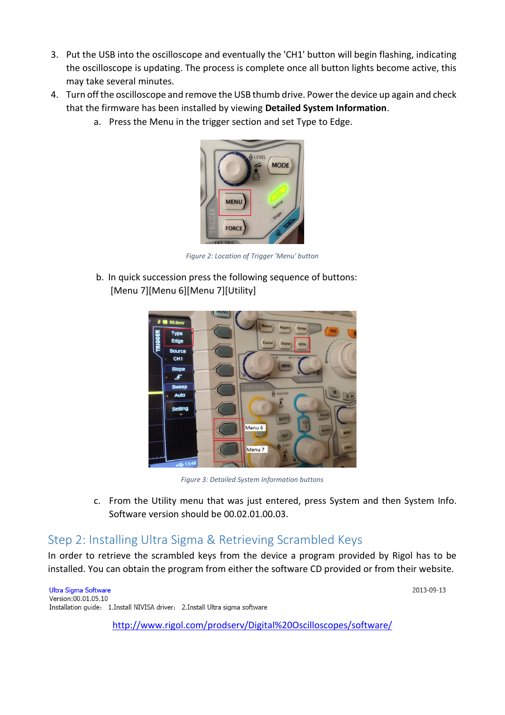- 3. Put the USB into the oscilloscope and eventually the 'CH1' button will begin flashing, indicating the oscilloscope is updating. The process is complete once all button lights become active, this may take several minutes.
- 4. Turn off the oscilloscope and remove the USB thumb drive. Power the device up again and check that the firmware has been installed by viewing **Detailed System Information**.
	- a. Press the Menu in the trigger section and set Type to Edge.



*Figure 2: Location of Trigger 'Menu' button*

b. In quick succession press the following sequence of buttons: [Menu 7][Menu 6][Menu 7][Utility]



*Figure 3: Detailed System Information buttons*

c. From the Utility menu that was just entered, press System and then System Info. Software version should be 00.02.01.00.03.

2013-09-13

#### Step 2: Installing Ultra Sigma & Retrieving Scrambled Keys

In order to retrieve the scrambled keys from the device a program provided by Rigol has to be installed. You can obtain the program from either the software CD provided or from their website.

**Ultra Sigma Software** Version:00.01.05.10 Installation guide: 1.Install NIVISA driver; 2.Install Ultra sigma software

<http://www.rigol.com/prodserv/Digital%20Oscilloscopes/software/>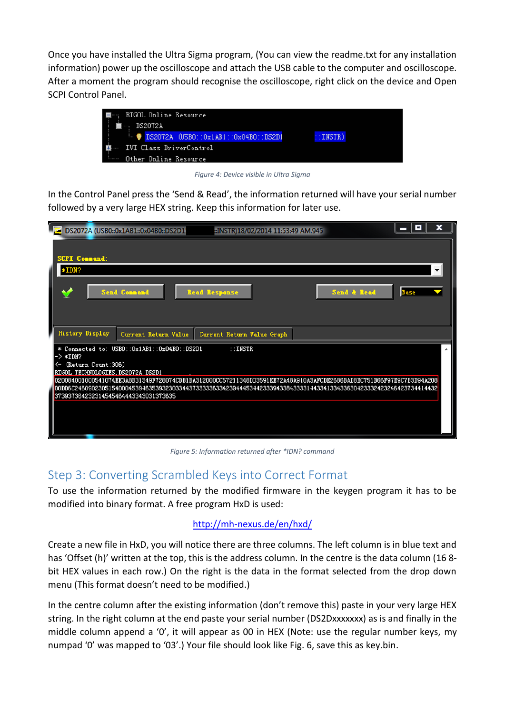Once you have installed the Ultra Sigma program, (You can view the readme.txt for any installation information) power up the oscilloscope and attach the USB cable to the computer and oscilloscope. After a moment the program should recognise the oscilloscope, right click on the device and Open SCPI Control Panel.



*Figure 4: Device visible in Ultra Sigma*

In the Control Panel press the 'Send & Read', the information returned will have your serial number followed by a very large HEX string. Keep this information for later use.

| DS2072A (USB0::0x1AB1::0x04B0::DS2D1<br>:INSTR)18/02/2014 11:53:49 AM.945                                                                                                                                                                                                        | x<br>o<br>- |  |
|----------------------------------------------------------------------------------------------------------------------------------------------------------------------------------------------------------------------------------------------------------------------------------|-------------|--|
| <b>SCPI Connand:</b>                                                                                                                                                                                                                                                             |             |  |
| *IDN?                                                                                                                                                                                                                                                                            |             |  |
| <b>Send Connand</b><br>Send & Read<br><b>Read Response</b>                                                                                                                                                                                                                       | Base        |  |
| <b>History Display</b><br>Current Return Value<br>Current Return Value Graph                                                                                                                                                                                                     |             |  |
| * Connected to: USBO::0x1AB1::0x04BO::DS2D1<br>: <b>INSTR</b><br>$->*IDN?$<br>(Return Count:306)<br><-<br>RIGOL TECHNOLOGIES, DS2072A, DS2D1                                                                                                                                     |             |  |
| 020084001000541074EE3A8B31349F728074CDB1BA312000CC57211348DD3591EE72A48A910A3AFCDE2686BAD8EC751B66F97E9C7B3D94A208<br>00DD6C246090230515400045394635393230334437333336334239444534423339433843333144334133433630423332423246423734414432<br>373937364232314545464443343031373635 |             |  |
|                                                                                                                                                                                                                                                                                  |             |  |

*Figure 5: Information returned after \*IDN? command*

#### Step 3: Converting Scrambled Keys into Correct Format

To use the information returned by the modified firmware in the keygen program it has to be modified into binary format. A free program HxD is used:

#### <http://mh-nexus.de/en/hxd/>

Create a new file in HxD, you will notice there are three columns. The left column is in blue text and has 'Offset (h)' written at the top, this is the address column. In the centre is the data column (168bit HEX values in each row.) On the right is the data in the format selected from the drop down menu (This format doesn't need to be modified.)

In the centre column after the existing information (don't remove this) paste in your very large HEX string. In the right column at the end paste your serial number (DS2Dxxxxxxx) as is and finally in the middle column append a '0', it will appear as 00 in HEX (Note: use the regular number keys, my numpad '0' was mapped to '03'.) Your file should look like Fig. 6, save this as key.bin.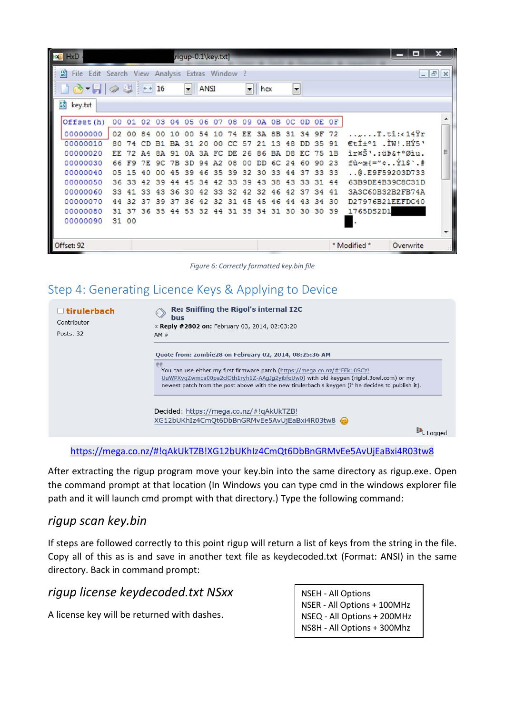| PO<br>HxD<br>rigup-0.1\key.txt]                      |                                            |    |           |    |    |                |    |     |     |     |                                                       |                |                |       |                |    | x                                         |               |  |
|------------------------------------------------------|--------------------------------------------|----|-----------|----|----|----------------|----|-----|-----|-----|-------------------------------------------------------|----------------|----------------|-------|----------------|----|-------------------------------------------|---------------|--|
| 50<br>File Edit Search View Analysis Extras Window ? |                                            |    |           |    |    |                |    |     |     |     |                                                       |                |                |       |                |    |                                           | $ 5$ $\times$ |  |
| $10 - 1$                                             | and 16<br>ANSI<br>$\vert \mathbf{v} \vert$ |    |           |    |    |                |    |     |     |     | $\overline{\phantom{a}}$<br>$\blacktriangleright$ hex |                |                |       |                |    |                                           |               |  |
| $F_0$<br>key.txt                                     |                                            |    |           |    |    |                |    |     |     |     |                                                       |                |                |       |                |    |                                           |               |  |
| Offset (h)                                           | 00                                         | 01 | 02        | 03 | 04 | 05             | 06 | 07  | 08  | 09  | 0A                                                    |                |                |       | OB OC OD OE OF |    |                                           |               |  |
| 00000000                                             | 02 <sup>2</sup>                            | 00 | 84        | 00 | 10 | 00             | 54 | 10  | 74  | EE. | 3A                                                    | 8 <sub>B</sub> | 31             | 34 9F |                | 72 | $\ldots$ $\text{I.ti}:$ (14 $\text{Yr}$ ) |               |  |
| 00000010                                             | 80                                         |    |           | B1 | RA | 31             | 20 | 00  | cc  | 57  | 21                                                    | 13             | 48             | DD.   | 35             | 91 | Etit <sup>o</sup> 1 . IW! . HÝ5'          |               |  |
| 00000020                                             | EE.                                        |    | <b>A4</b> | 84 | 91 | 0 <sup>A</sup> | 34 | FC. | DE. | 26  | 86                                                    | <b>BA</b>      | D <sub>8</sub> | EC.   | 75             | 1B | îr¤Š'.:üÞ&t°Øìu.                          | Ξ             |  |
| 00000030                                             | 66                                         | FQ | 7F.       | 9C | 7B | 3D             | 94 | A2  | 08  | 00  | DD.                                                   | 6C             | 24             | 60    | 90             | 23 | $f\hat{u}$ ~œ{="cY1\$`.#                  |               |  |
| 00000040                                             | 0.5                                        | 5  |           | nn | 45 | 39             | 46 | 35  | 39  | 32  | 30                                                    | 33             | 44             | 37    | 33             | 33 | .0.09F59203D733                           |               |  |
| 00000050                                             | 36                                         | 33 | 42        | 39 | 44 | 45             | 34 | 42  | 33  | 39  | 43                                                    | 38             | 43             | 33    | 31             | 44 | 63B9DE4B39C8C31D                          |               |  |
| 00000060                                             | 33                                         | 41 | 33        | 43 | 36 | 30             | 42 | 33  | 32  | 42  | 32                                                    | 46             | 42             | 37    | 34             | 41 | 3A3C60B32B2FB74A                          |               |  |
| 00000070                                             | 44                                         | 32 | 37        | 39 | 37 | 36             | 42 | 32  | 31  | 45  | 45                                                    | 46             | 44             | 43    | 34             | 30 | D27976B21EEFDC40                          |               |  |
| 00000080                                             | 31                                         | 37 | 36        | 35 | 44 | 53             | 32 | 44  | 31  | 35  | 34                                                    | 31             | 30             | 30    | 30             | 39 | 1765DS2D1                                 |               |  |
| 00000090                                             | 31 00                                      |    |           |    |    |                |    |     |     |     |                                                       |                |                |       |                |    |                                           |               |  |
| Offset: 92                                           |                                            |    |           |    |    |                |    |     |     |     |                                                       |                |                |       |                |    | * Modified *<br>Overwrite                 |               |  |

*Figure 6: Correctly formatted key.bin file*

# Step 4: Generating Licence Keys & Applying to Device

□ tirulerbach Contributor Posts: 32

Re: Sniffing the Rigol's internal I2C ◈ bus « Reply #2802 on: February 03, 2014, 02:03:20  $AM \times$ 

Quote from: zombie28 on February 02, 2014, 08:25:36 AM

You can use either my first firmware patch (https://mega.co.nz/#!FFk10SCY! UuWPXyqZwmca00pa2clOth1ryh1Z-AAgJg2yibfoUw0) with old keygen (riglol.3owl.com) or my newest patch from the post above with the new tirulerbach's keygen (if he decides to publish it).

NS8H - All Options + 300Mhz

Decided: https://mega.co.nz/#!qAkUkTZB! XG12bUKhIz4CmQt6DbBnGRMvEe5AvUjEaBxi4R03tw8

<mark><sup>异</sup>L Logged</mark>

#### <https://mega.co.nz/#!qAkUkTZB!XG12bUKhIz4CmQt6DbBnGRMvEe5AvUjEaBxi4R03tw8>

After extracting the rigup program move your key.bin into the same directory as rigup.exe. Open the command prompt at that location (In Windows you can type cmd in the windows explorer file path and it will launch cmd prompt with that directory.) Type the following command:

#### *rigup scan key.bin*

If steps are followed correctly to this point rigup will return a list of keys from the string in the file. Copy all of this as is and save in another text file as keydecoded.txt (Format: ANSI) in the same directory. Back in command prompt:

| rigup license keydecoded.txt NSxx           | <b>NSEH - All Options</b>   |
|---------------------------------------------|-----------------------------|
|                                             | NSER - All Options + 100MHz |
| A license key will be returned with dashes. | NSEQ - All Options + 200MHz |